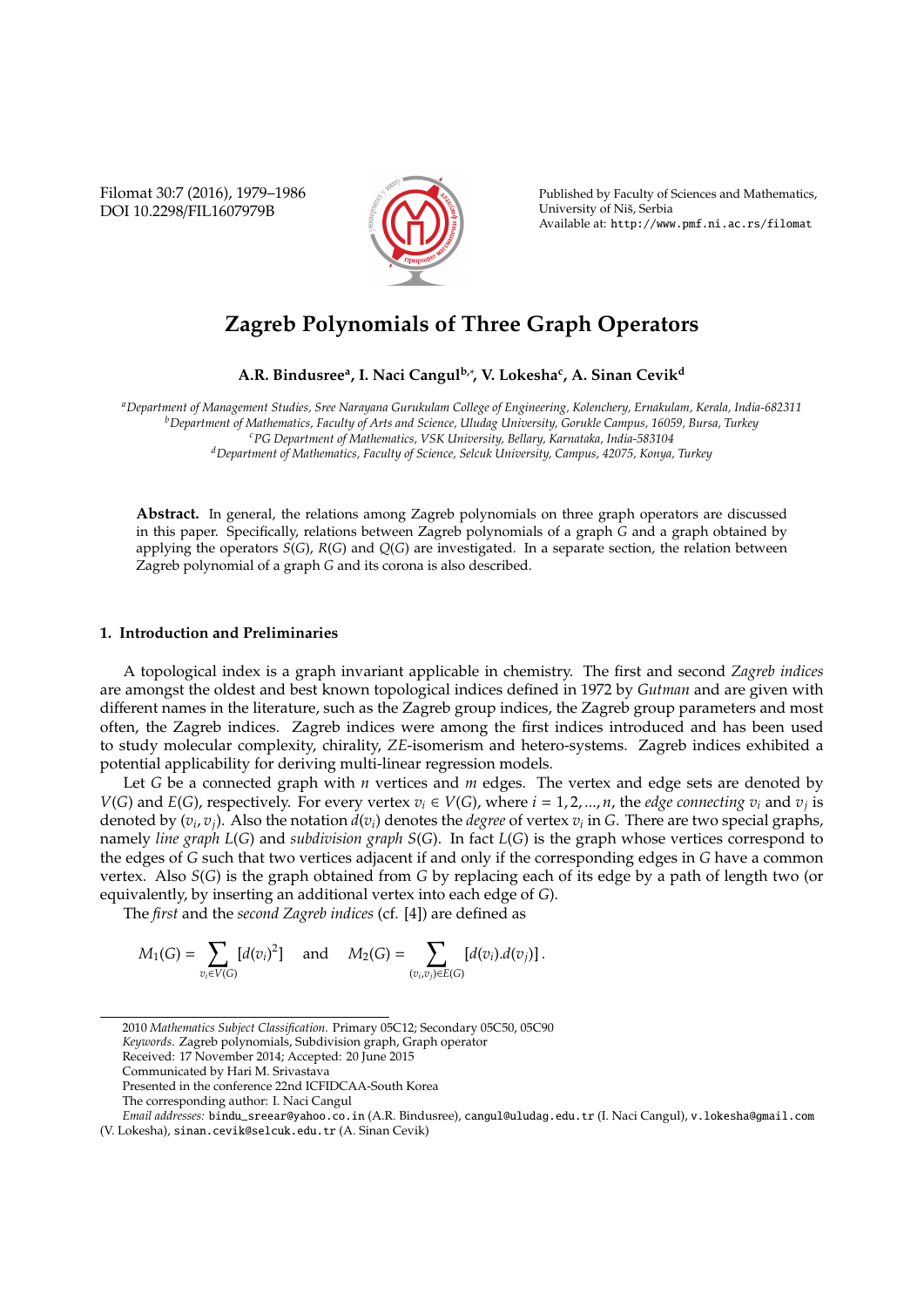Filomat 30:7 (2016), 1979–1986 DOI 10.2298/FIL1607979B



Published by Faculty of Sciences and Mathematics, University of Niš, Serbia Available at: http://www.pmf.ni.ac.rs/filomat

# **Zagreb Polynomials of Three Graph Operators**

**A.R. Bindusree<sup>a</sup> , I. Naci Cangulb,**<sup>∗</sup> **, V. Lokesha<sup>c</sup> , A. Sinan Cevik<sup>d</sup>**

*<sup>a</sup>Department of Management Studies, Sree Narayana Gurukulam College of Engineering, Kolenchery, Ernakulam, Kerala, India-682311 <sup>b</sup>Department of Mathematics, Faculty of Arts and Science, Uludag University, Gorukle Campus, 16059, Bursa, Turkey <sup>c</sup>PG Department of Mathematics, VSK University, Bellary, Karnataka, India-583104 <sup>d</sup>Department of Mathematics, Faculty of Science, Selcuk University, Campus, 42075, Konya, Turkey*

**Abstract.** In general, the relations among Zagreb polynomials on three graph operators are discussed in this paper. Specifically, relations between Zagreb polynomials of a graph *G* and a graph obtained by applying the operators *S*(*G*), *R*(*G*) and *Q*(*G*) are investigated. In a separate section, the relation between Zagreb polynomial of a graph *G* and its corona is also described.

## **1. Introduction and Preliminaries**

A topological index is a graph invariant applicable in chemistry. The first and second *Zagreb indices* are amongst the oldest and best known topological indices defined in 1972 by *Gutman* and are given with different names in the literature, such as the Zagreb group indices, the Zagreb group parameters and most often, the Zagreb indices. Zagreb indices were among the first indices introduced and has been used to study molecular complexity, chirality, *ZE*-isomerism and hetero-systems. Zagreb indices exhibited a potential applicability for deriving multi-linear regression models.

Let *G* be a connected graph with *n* vertices and *m* edges. The vertex and edge sets are denoted by *V*(*G*) and *E*(*G*), respectively. For every vertex  $v_i \in V(G)$ , where  $i = 1, 2, ..., n$ , the *edge connecting*  $v_i$  and  $v_j$  is denoted by  $(v_i, v_j)$ . Also the notation  $d(v_i)$  denotes the *degree* of vertex  $v_i$  in G. There are two special graphs, namely *line graph L*(*G*) and *subdivision graph S*(*G*). In fact *L*(*G*) is the graph whose vertices correspond to the edges of *G* such that two vertices adjacent if and only if the corresponding edges in *G* have a common vertex. Also *S*(*G*) is the graph obtained from *G* by replacing each of its edge by a path of length two (or equivalently, by inserting an additional vertex into each edge of *G*).

The *first* and the *second Zagreb indices* (cf. [4]) are defined as

$$
M_1(G) = \sum_{v_i \in V(G)} [d(v_i)^2] \text{ and } M_2(G) = \sum_{(v_i, v_j) \in E(G)} [d(v_i).d(v_j)].
$$

*Keywords*. Zagreb polynomials, Subdivision graph, Graph operator

The corresponding author: I. Naci Cangul

<sup>2010</sup> *Mathematics Subject Classification*. Primary 05C12; Secondary 05C50, 05C90

Received: 17 November 2014; Accepted: 20 June 2015

Communicated by Hari M. Srivastava

Presented in the conference 22nd ICFIDCAA-South Korea

*Email addresses:* bindu\_sreear@yahoo.co.in (A.R. Bindusree), cangul@uludag.edu.tr (I. Naci Cangul), v.lokesha@gmail.com (V. Lokesha), sinan.cevik@selcuk.edu.tr (A. Sinan Cevik)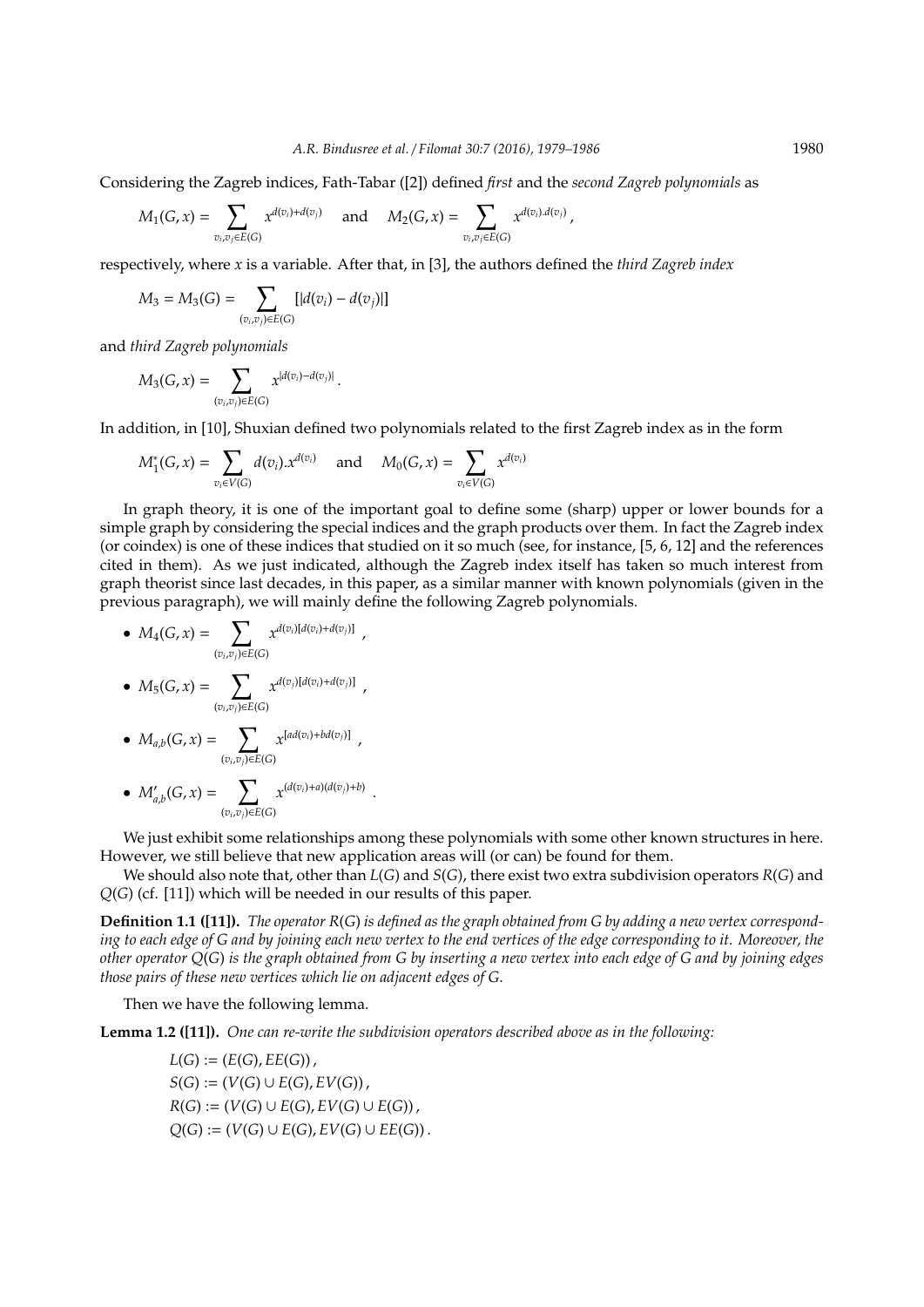Considering the Zagreb indices, Fath-Tabar ([2]) defined *first* and the *second Zagreb polynomials* as

$$
M_1(G,x)=\sum_{v_i,v_j\in E(G)}x^{d(v_i)+d(v_j)}\quad\text{ and }\quad M_2(G,x)=\sum_{v_i,v_j\in E(G)}x^{d(v_i),d(v_j)}\,,
$$

respectively, where *x* is a variable. After that, in [3], the authors defined the *third Zagreb index*

$$
M_3 = M_3(G) = \sum_{(v_i, v_j) \in E(G)} [|d(v_i) - d(v_j)|]
$$

and *third Zagreb polynomials*

$$
M_3(G,x)=\sum_{(v_i,v_j)\in E(G)}x^{|d(v_i)-d(v_j)|}
$$

In addition, in [10], Shuxian defined two polynomials related to the first Zagreb index as in the form

$$
M_1^*(G,x) = \sum_{v_i \in V(G)} d(v_i).x^{d(v_i)} \quad \text{ and } \quad M_0(G,x) = \sum_{v_i \in V(G)} x^{d(v_i)}
$$

.

In graph theory, it is one of the important goal to define some (sharp) upper or lower bounds for a simple graph by considering the special indices and the graph products over them. In fact the Zagreb index (or coindex) is one of these indices that studied on it so much (see, for instance, [5, 6, 12] and the references cited in them). As we just indicated, although the Zagreb index itself has taken so much interest from graph theorist since last decades, in this paper, as a similar manner with known polynomials (given in the previous paragraph), we will mainly define the following Zagreb polynomials.

• 
$$
M_4(G, x) = \sum_{(v_i, v_j) \in E(G)} x^{d(v_i)[d(v_i) + d(v_j)]}
$$
,  
\n•  $M_5(G, x) = \sum_{x} x^{d(v_j)[d(v_i) + d(v_j)]}$ ,

$$
v_{i+1}(\mathcal{C},\mathcal{X}) = \sum_{(v_i,v_j)\in E(G)} \mathcal{X}
$$

• 
$$
M_{a,b}(G,x) = \sum_{(v_i,v_j)\in E(G)} x^{[ad(v_i)+bd(v_j)]}
$$
,

• 
$$
M'_{a,b}(G, x) = \sum_{(v_i, v_j) \in E(G)} x^{(d(v_i) + a)(d(v_j) + b)}
$$
.

We just exhibit some relationships among these polynomials with some other known structures in here. However, we still believe that new application areas will (or can) be found for them.

We should also note that, other than *L*(*G*) and *S*(*G*), there exist two extra subdivision operators *R*(*G*) and *Q*(*G*) (cf. [11]) which will be needed in our results of this paper.

**Definition 1.1 ([11]).** *The operator R*(*G*) *is defined as the graph obtained from G by adding a new vertex corresponding to each edge of G and by joining each new vertex to the end vertices of the edge corresponding to it. Moreover, the other operator Q*(*G*) *is the graph obtained from G by inserting a new vertex into each edge of G and by joining edges those pairs of these new vertices which lie on adjacent edges of G*.

Then we have the following lemma.

**Lemma 1.2 ([11]).** *One can re-write the subdivision operators described above as in the following:*

$$
L(G) := (E(G), EE(G)),
$$
  
\n
$$
S(G) := (V(G) \cup E(G), EV(G)),
$$
  
\n
$$
R(G) := (V(G) \cup E(G), EV(G) \cup E(G)),
$$
  
\n
$$
Q(G) := (V(G) \cup E(G), EV(G) \cup EE(G)).
$$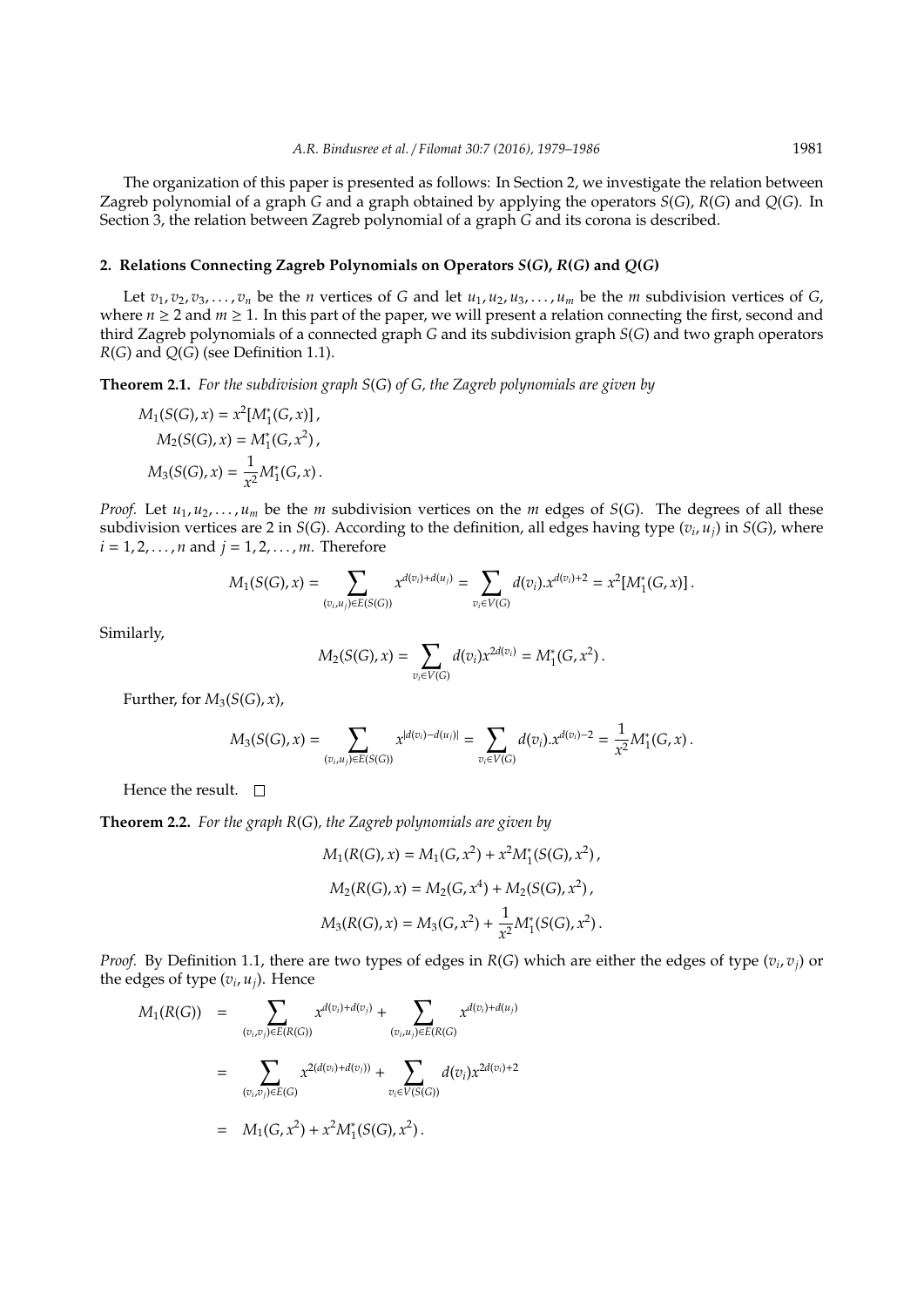The organization of this paper is presented as follows: In Section 2, we investigate the relation between Zagreb polynomial of a graph *G* and a graph obtained by applying the operators *S*(*G*), *R*(*G*) and *Q*(*G*). In Section 3, the relation between Zagreb polynomial of a graph *G* and its corona is described.

#### **2. Relations Connecting Zagreb Polynomials on Operators** *S***(***G***),** *R***(***G***) and** *Q***(***G***)**

Let  $v_1, v_2, v_3, \ldots, v_n$  be the *n* vertices of *G* and let  $u_1, u_2, u_3, \ldots, u_m$  be the *m* subdivision vertices of *G*, where  $n \ge 2$  and  $m \ge 1$ . In this part of the paper, we will present a relation connecting the first, second and third Zagreb polynomials of a connected graph *G* and its subdivision graph *S*(*G*) and two graph operators *R*(*G*) and *Q*(*G*) (see Definition 1.1).

**Theorem 2.1.** *For the subdivision graph S*(*G*) *of G, the Zagreb polynomials are given by*

$$
M_1(S(G), x) = x^2 [M_1^*(G, x)],
$$
  
\n
$$
M_2(S(G), x) = M_1^*(G, x^2),
$$
  
\n
$$
M_3(S(G), x) = \frac{1}{x^2} M_1^*(G, x).
$$

*Proof.* Let  $u_1, u_2, \ldots, u_m$  be the *m* subdivision vertices on the *m* edges of *S*(*G*). The degrees of all these subdivision vertices are 2 in *S*(*G*). According to the definition, all edges having type (*v<sup>i</sup>* , *uj*) in *S*(*G*), where  $i = 1, 2, ..., n$  and  $j = 1, 2, ..., m$ . Therefore

$$
M_1(S(G),x) = \sum_{(v_i,u_j)\in E(S(G))} x^{d(v_i)+d(u_j)} = \sum_{v_i\in V(G)} d(v_i).x^{d(v_i)+2} = x^2[M_1^*(G,x)].
$$

Similarly,

$$
M_2(S(G),x) = \sum_{v_i \in V(G)} d(v_i) x^{2d(v_i)} = M_1^*(G,x^2) \, .
$$

Further, for  $M_3(S(G),x)$ ,

$$
M_3(S(G),x) = \sum_{(v_i,u_j)\in E(S(G))} x^{|d(v_i)-d(u_j)|} = \sum_{v_i\in V(G)} d(v_i).x^{d(v_i)-2} = \frac{1}{x^2} M_1^*(G,x).
$$

Hence the result.  $\square$ 

**Theorem 2.2.** *For the graph R*(*G*)*, the Zagreb polynomials are given by*

$$
M_1(R(G), x) = M_1(G, x^2) + x^2 M_1^*(S(G), x^2),
$$
  
\n
$$
M_2(R(G), x) = M_2(G, x^4) + M_2(S(G), x^2),
$$
  
\n
$$
M_3(R(G), x) = M_3(G, x^2) + \frac{1}{x^2} M_1^*(S(G), x^2).
$$

*Proof.* By Definition 1.1, there are two types of edges in *R*(*G*) which are either the edges of type (*v<sup>i</sup>* , *vj*) or the edges of type  $(v_i, u_j)$ . Hence

$$
M_1(R(G)) = \sum_{(v_i,v_j)\in E(R(G))} x^{d(v_i) + d(v_j)} + \sum_{(v_i,u_j)\in E(R(G))} x^{d(v_i) + d(u_j)}
$$
  

$$
= \sum_{(v_i,v_j)\in E(G)} x^{2(d(v_i) + d(v_j))} + \sum_{v_i\in V(S(G))} d(v_i) x^{2d(v_i) + 2}
$$
  

$$
= M_1(G,x^2) + x^2 M_1^*(S(G),x^2).
$$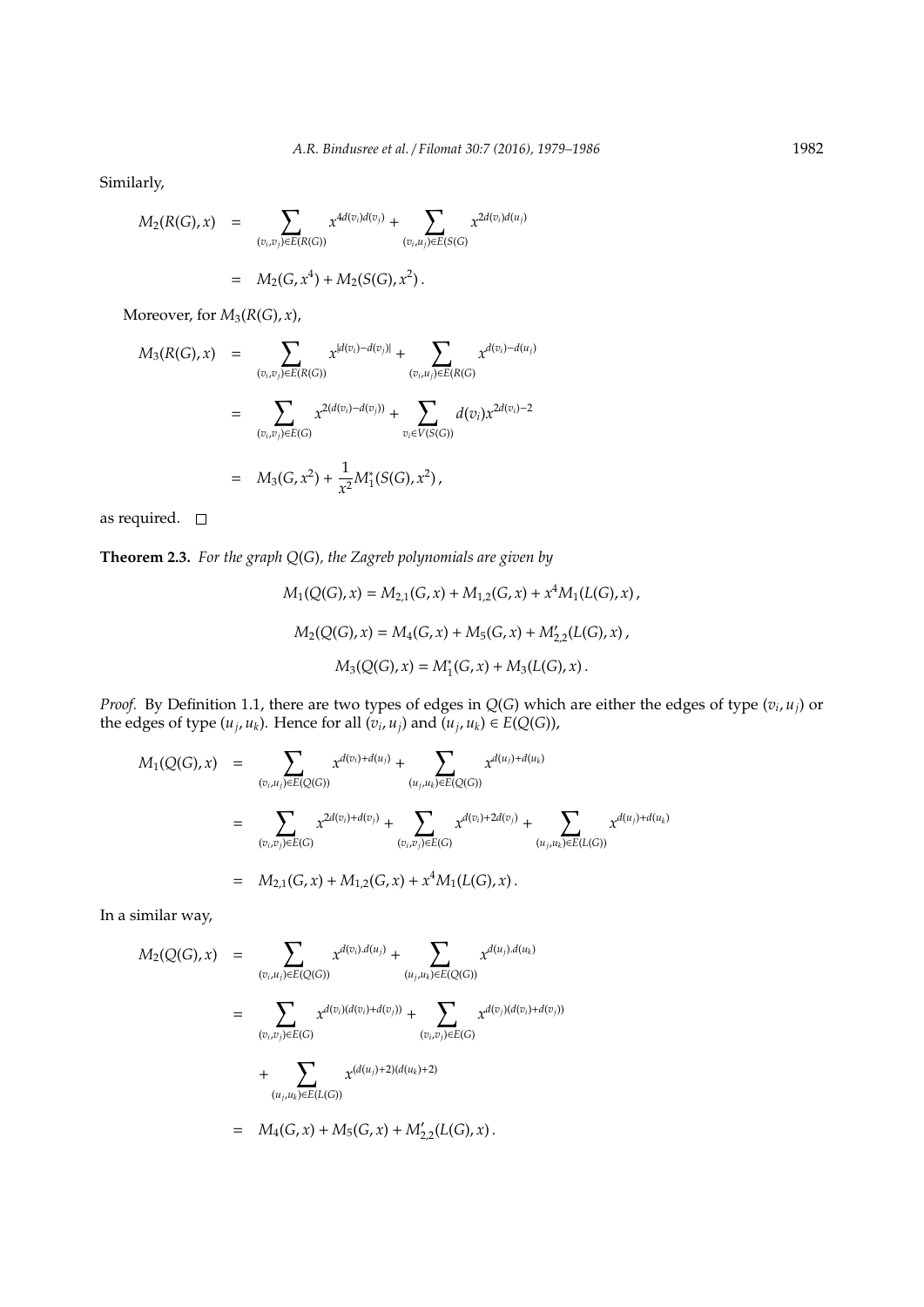Similarly,

$$
M_2(R(G),x) = \sum_{(v_i,v_j)\in E(R(G))} x^{4d(v_i)d(v_j)} + \sum_{(v_i,u_j)\in E(S(G))} x^{2d(v_i)d(u_j)}
$$
  
=  $M_2(G,x^4) + M_2(S(G),x^2)$ .

Moreover, for  $M_3(R(G),x)$ ,

$$
M_3(R(G),x) = \sum_{(v_i,v_j)\in E(R(G))} x^{|d(v_i)-d(v_j)|} + \sum_{(v_i,u_j)\in E(R(G))} x^{d(v_i)-d(u_j)}
$$
  

$$
= \sum_{(v_i,v_j)\in E(G)} x^{2(d(v_i)-d(v_j))} + \sum_{v_i\in V(S(G))} d(v_i) x^{2d(v_i)-2}
$$
  

$$
= M_3(G,x^2) + \frac{1}{x^2} M_1^*(S(G),x^2),
$$

as required.  $\quad \Box$ 

**Theorem 2.3.** *For the graph Q*(*G*)*, the Zagreb polynomials are given by*

$$
M_1(Q(G), x) = M_{2,1}(G, x) + M_{1,2}(G, x) + x^4 M_1(L(G), x),
$$
  
\n
$$
M_2(Q(G), x) = M_4(G, x) + M_5(G, x) + M'_{2,2}(L(G), x),
$$
  
\n
$$
M_3(Q(G), x) = M_1^*(G, x) + M_3(L(G), x).
$$

*Proof.* By Definition 1.1, there are two types of edges in *Q*(*G*) which are either the edges of type (*v<sup>i</sup>* , *uj*) or the edges of type  $(u_j, u_k)$ . Hence for all  $(v_i, u_j)$  and  $(u_j, u_k) \in E(Q(G))$ ,

$$
M_1(Q(G),x) = \sum_{(v_i,u_j)\in E(Q(G))} x^{d(v_i)+d(u_j)} + \sum_{(u_j,u_k)\in E(Q(G))} x^{d(u_j)+d(u_k)}
$$
  

$$
= \sum_{(v_i,v_j)\in E(G)} x^{2d(v_i)+d(v_j)} + \sum_{(v_i,v_j)\in E(G)} x^{d(v_i)+2d(v_j)} + \sum_{(u_j,u_k)\in E(L(G))} x^{d(u_j)+d(u_k)}
$$
  

$$
= M_{2,1}(G,x) + M_{1,2}(G,x) + x^4 M_1(L(G),x).
$$

In a similar way,

$$
M_2(Q(G),x) = \sum_{(v_i,u_j)\in E(Q(G))} x^{d(v_i),d(u_j)} + \sum_{(u_j,u_k)\in E(Q(G))} x^{d(u_j),d(u_k)}
$$
  

$$
= \sum_{(v_i,v_j)\in E(G)} x^{d(v_i)(d(v_i)+d(v_j))} + \sum_{(v_i,v_j)\in E(G)} x^{d(v_j)(d(v_i)+d(v_j))}
$$
  

$$
+ \sum_{(u_j,u_k)\in E(L(G))} x^{(d(u_j)+2)(d(u_k)+2)}
$$
  

$$
= M_4(G,x) + M_5(G,x) + M'_{2,2}(L(G),x).
$$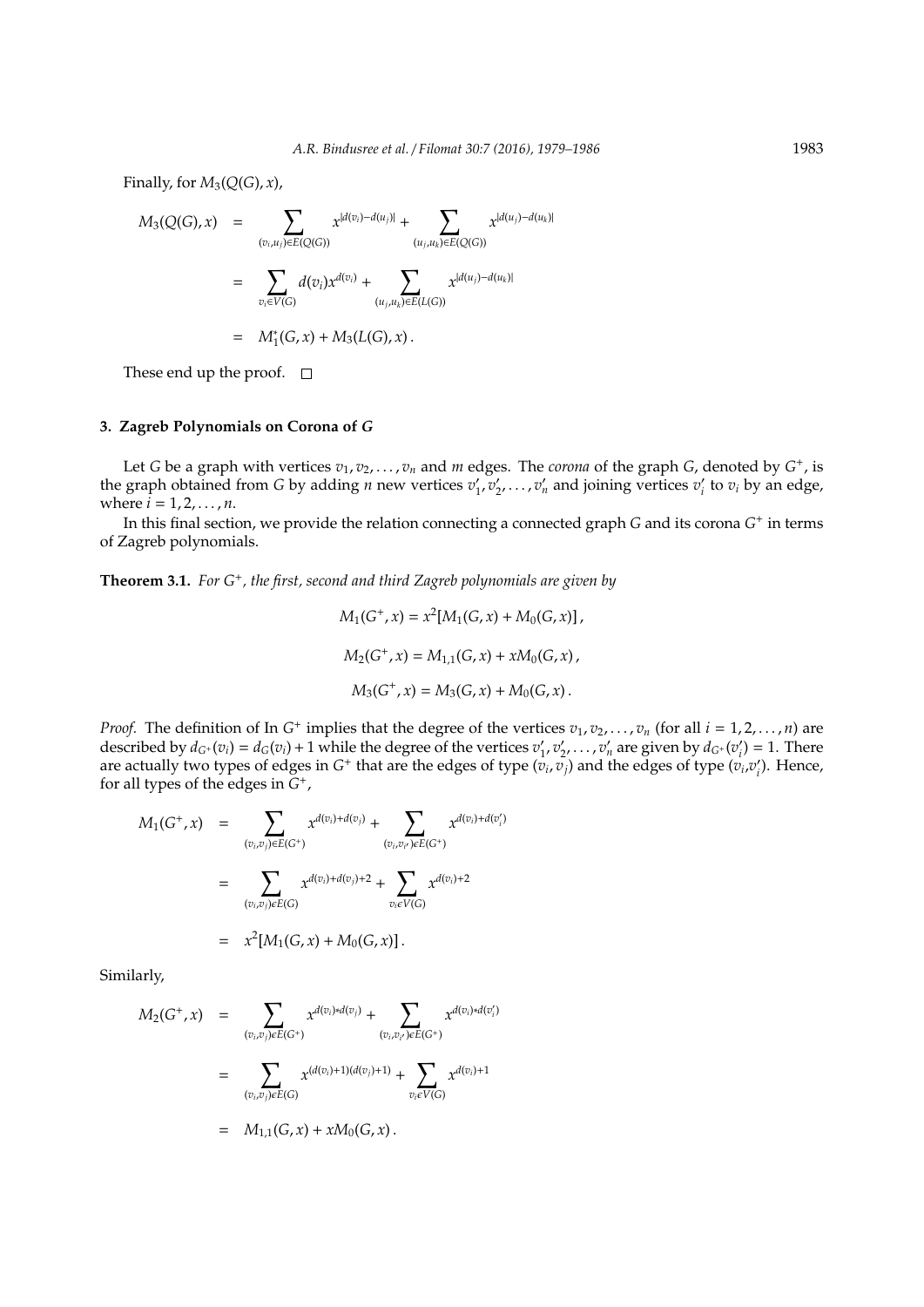Finally, for  $M_3(Q(G),x)$ ,

$$
M_3(Q(G),x) = \sum_{(v_i,u_j)\in E(Q(G))} x^{|d(v_i)-d(u_j)|} + \sum_{(u_j,u_k)\in E(Q(G))} x^{|d(u_j)-d(u_k)|}
$$
  

$$
= \sum_{v_i\in V(G)} d(v_i)x^{d(v_i)} + \sum_{(u_j,u_k)\in E(L(G))} x^{|d(u_j)-d(u_k)|}
$$
  

$$
= M_1^*(G,x) + M_3(L(G),x).
$$

These end up the proof.  $\square$ 

### **3. Zagreb Polynomials on Corona of** *G*

Let *G* be a graph with vertices  $v_1, v_2, \ldots, v_n$  and *m* edges. The *corona* of the graph *G*, denoted by *G*<sup>+</sup>, is the graph obtained from *G* by adding *n* new vertices  $v_1$  $v'_1, v'_2$  $v_2', \ldots, v_n'$  and joining vertices  $v_i'$  $v_i'$  to  $v_i$  by an edge, where  $i = 1, 2, ..., n$ .

In this final section, we provide the relation connecting a connected graph *G* and its corona *G* + in terms of Zagreb polynomials.

**Theorem 3.1.** *For G*<sup>+</sup> *, the first, second and third Zagreb polynomials are given by*

$$
M_1(G^+, x) = x^2 [M_1(G, x) + M_0(G, x)],
$$
  
\n
$$
M_2(G^+, x) = M_{1,1}(G, x) + xM_0(G, x),
$$
  
\n
$$
M_3(G^+, x) = M_3(G, x) + M_0(G, x).
$$

*Proof.* The definition of In  $G^+$  implies that the degree of the vertices  $v_1, v_2, \ldots, v_n$  (for all  $i = 1, 2, \ldots, n$ ) are described by  $d_{G^+}(v_i) = d_G(v_i) + 1$  while the degree of the vertices  $v'_1$  $v'_1, v'_2$  $\alpha'_{2}, \ldots, \alpha'_{n}$  are given by  $d_{G^{+}}(v'_{n})$  $b_i^{\prime}$ ) = 1. There are actually two types of edges in  $G^+$  that are the edges of type  $(v_i, v_j)$  and the edges of type  $(v_i, v_j)$ *i* ). Hence, for all types of the edges in *G* + ,

$$
M_1(G^+,x) = \sum_{(v_i,v_j)\in E(G^+)} x^{d(v_i) + d(v_j)} + \sum_{(v_i,v_{i'})\in E(G^+)} x^{d(v_i) + d(v'_i)}
$$
  

$$
= \sum_{(v_i,v_j)\in E(G)} x^{d(v_i) + d(v_j) + 2} + \sum_{v_i\in V(G)} x^{d(v_i) + 2}
$$
  

$$
= x^2[M_1(G,x) + M_0(G,x)].
$$

Similarly,

$$
M_2(G^+,x) = \sum_{(v_i,v_j)\in E(G^+)} x^{d(v_i)*d(v_j)} + \sum_{(v_i,v_{i'})\in E(G^+)} x^{d(v_i)*d(v'_i)}
$$
  

$$
= \sum_{(v_i,v_j)\in E(G)} x^{(d(v_i)+1)(d(v_j)+1)} + \sum_{v_i\in V(G)} x^{d(v_i)+1}
$$
  

$$
= M_{1,1}(G,x) + xM_0(G,x).
$$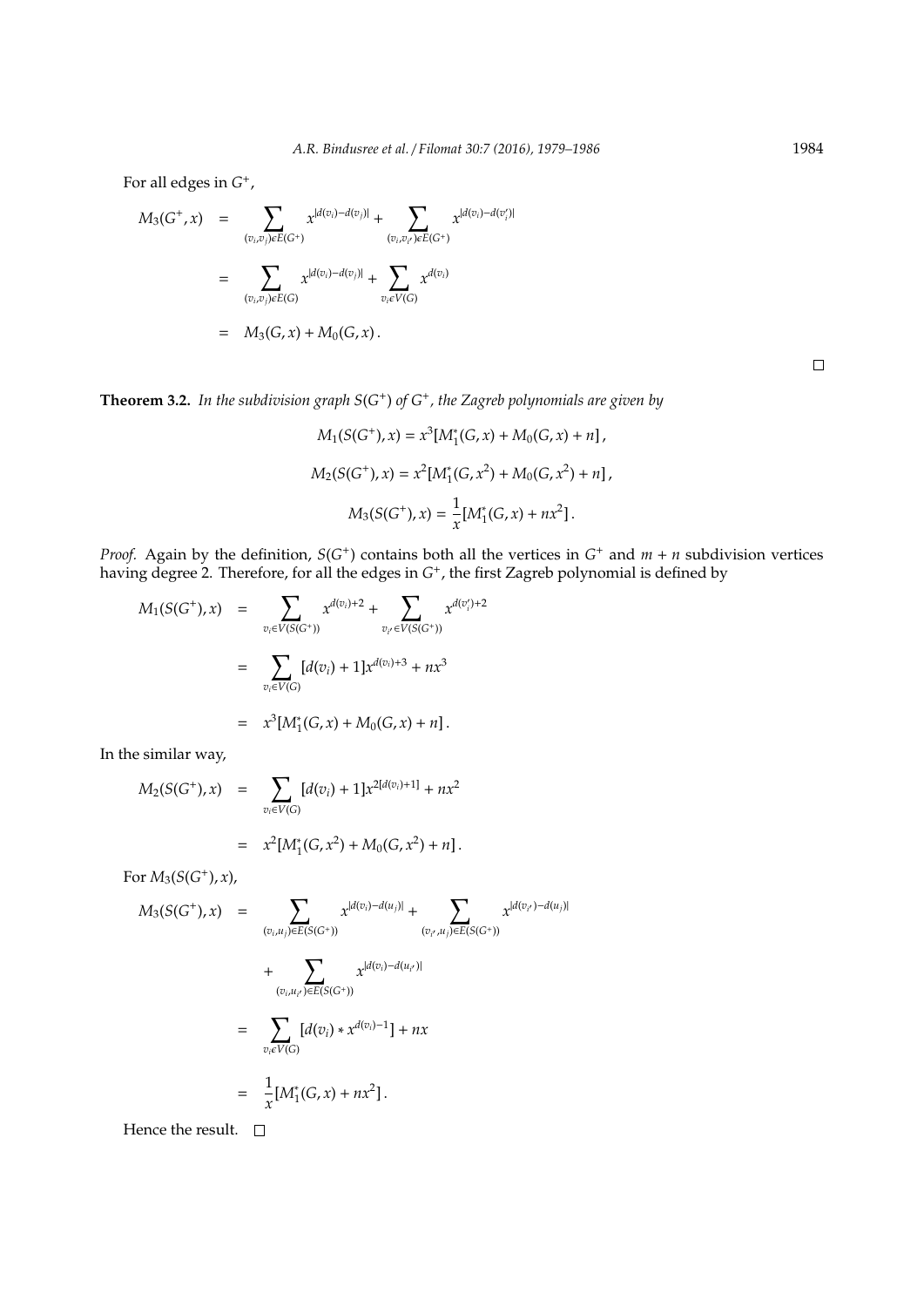For all edges in  $G^+$ ,

$$
M_3(G^+,x) = \sum_{(v_i,v_j)\in E(G^+)} x^{|d(v_i)-d(v_j)|} + \sum_{(v_i,v_{i'})\in E(G^+)} x^{|d(v_i)-d(v'_j)|}
$$
  

$$
= \sum_{(v_i,v_j)\in E(G)} x^{|d(v_i)-d(v_j)|} + \sum_{v_i\in V(G)} x^{d(v_i)}
$$
  

$$
= M_3(G,x) + M_0(G,x).
$$

**Theorem 3.2.** *In the subdivision graph S*(*G* + ) *of G*<sup>+</sup> *, the Zagreb polynomials are given by*

$$
M_1(S(G^+), x) = x^3 [M_1^*(G, x) + M_0(G, x) + n],
$$
  
\n
$$
M_2(S(G^+), x) = x^2 [M_1^*(G, x^2) + M_0(G, x^2) + n],
$$
  
\n
$$
M_3(S(G^+), x) = \frac{1}{x} [M_1^*(G, x) + nx^2].
$$

*Proof.* Again by the definition,  $S(G^+)$  contains both all the vertices in  $G^+$  and  $m + n$  subdivision vertices having degree 2. Therefore, for all the edges in  $G^+$ , the first Zagreb polynomial is defined by

$$
M_1(S(G^+), x) = \sum_{v_i \in V(S(G^+))} x^{d(v_i)+2} + \sum_{v_{i'} \in V(S(G^+))} x^{d(v'_i)+2}
$$
  

$$
= \sum_{v_i \in V(G)} [d(v_i) + 1] x^{d(v_i)+3} + nx^3
$$
  

$$
= x^3 [M_1^*(G, x) + M_0(G, x) + n].
$$

In the similar way,

$$
M_2(S(G^+), x) = \sum_{v_i \in V(G)} [d(v_i) + 1]x^{2[d(v_i)+1]} + nx^2
$$
  
=  $x^2[M_1^*(G, x^2) + M_0(G, x^2) + n].$ 

For  $M_3(S(G^+), x)$ ,

$$
M_3(S(G^+), x) = \sum_{(v_i, u_j) \in E(S(G^+))} x^{|d(v_i) - d(u_j)|} + \sum_{(v_{i'}, u_j) \in E(S(G^+))} x^{|d(v_{i'}) - d(u_{i'})|}
$$
  
+ 
$$
\sum_{(v_i, u_{i'}) \in E(S(G^+))} x^{|d(v_i) - d(u_{i'})|}
$$
  
= 
$$
\sum_{v_i \in V(G)} [d(v_i) * x^{d(v_i) - 1}] + nx
$$
  
= 
$$
\frac{1}{x} [M_1^*(G, x) + nx^2].
$$

Hence the result.  $\square$ 

 $\Box$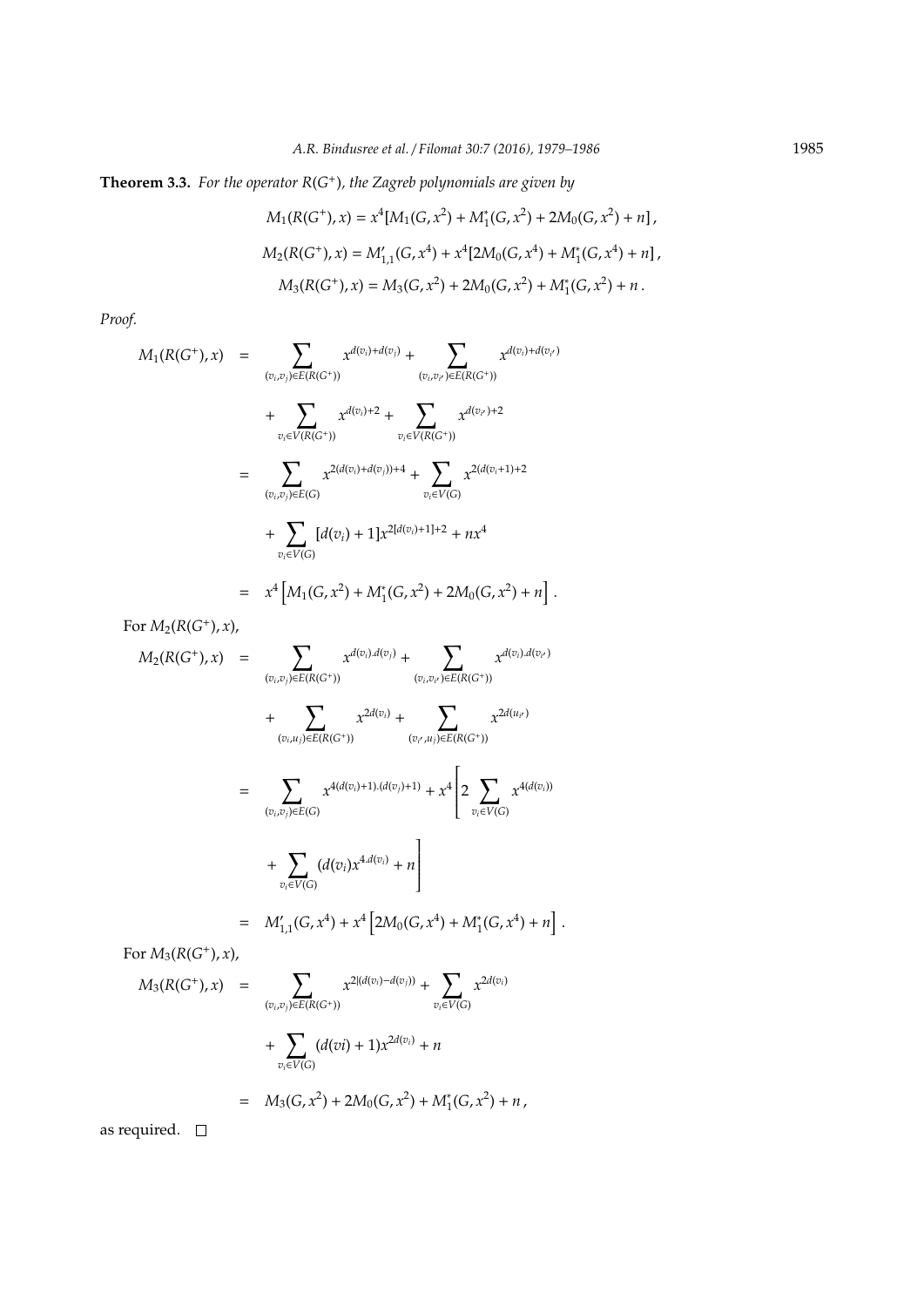**Theorem 3.3.** *For the operator R*(*G* + )*, the Zagreb polynomials are given by*

$$
M_1(R(G^+),x) = x^4[M_1(G, x^2) + M_1^*(G, x^2) + 2M_0(G, x^2) + n],
$$
  
\n
$$
M_2(R(G^+),x) = M'_{1,1}(G, x^4) + x^4[2M_0(G, x^4) + M_1^*(G, x^4) + n],
$$
  
\n
$$
M_3(R(G^+),x) = M_3(G, x^2) + 2M_0(G, x^2) + M_1^*(G, x^2) + n.
$$

*Proof.*

$$
M_{1}(R(G^{+}), x) = \sum_{(v_{i}, v_{j}) \in E(R(G^{+}))} x^{d(v_{i}) + d(v_{j})} + \sum_{(v_{i}, v_{i'}) \in E(R(G^{+}))} x^{d(v_{i}) + d(v_{i'})}
$$
  
+ 
$$
\sum_{v_{i} \in V(R(G^{+}))} x^{d(v_{i}) + 2} + \sum_{v_{i} \in V(R(G^{+}))} x^{d(v_{i'}) + 2}
$$
  
= 
$$
\sum_{(v_{i}, v_{j}) \in E(G)} x^{2(d(v_{i}) + d(v_{j})) + 4} + \sum_{v_{i} \in V(G)} x^{2(d(v_{i} + 1) + 2}
$$
  
+ 
$$
\sum_{v_{i} \in V(G)} [d(v_{i}) + 1] x^{2[d(v_{i}) + 1] + 2} + nx^{4}
$$
  
= 
$$
x^{4} [M_{1}(G, x^{2}) + M_{1}^{*}(G, x^{2}) + 2M_{0}(G, x^{2}) + n].
$$

For  $M_2(R(G^+), x)$ ,

$$
M_2(R(G^+), x) = \sum_{(v_i, v_j) \in E(R(G^+))} x^{d(v_i), d(v_j)} + \sum_{(v_i, v_{i'}) \in E(R(G^+))} x^{d(v_i), d(v_{i'})}
$$
  
+ 
$$
\sum_{(v_i, u_j) \in E(R(G^+))} x^{2d(v_i)} + \sum_{(v_{i'}, u_j) \in E(R(G^+))} x^{2d(u_{i'})}
$$
  
= 
$$
\sum_{(v_i, v_j) \in E(G)} x^{4(d(v_i)+1) \cdot (d(v_j)+1)} + x^4 \left[ 2 \sum_{v_i \in V(G)} x^{4(d(v_i))} + \sum_{v_i \in V(G)} (d(v_i) x^{4d(v_i)} + n) \right]
$$
  
= 
$$
M'_{1,1}(G, x^4) + x^4 \left[ 2M_0(G, x^4) + M_1^*(G, x^4) + n \right].
$$

For  $M_3(R(G^+), x)$ ,

$$
M_3(R(G^+), x) = \sum_{(v_i, v_j) \in E(R(G^+))} x^{2|(d(v_i) - d(v_j))} + \sum_{v_i \in V(G)} x^{2d(v_i)} + \sum_{v_i \in V(G)} (d(vi) + 1)x^{2d(v_i)} + n
$$
  
=  $M_3(G, x^2) + 2M_0(G, x^2) + M_1^*(G, x^2) + n$ ,

as required.  $\quad \Box$